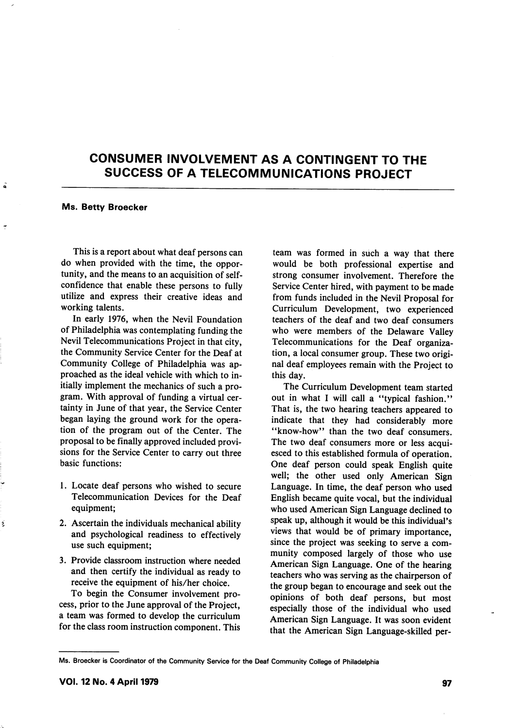# CONSUMER INVOLVEMENT AS A CONTINGENT TO THE SUCCESS OF A TELECOMMUNICATIONS PROJECT

#### Ms. Betty Broecker

Á

ź

This is a report about what deaf persons can do when provided with the time, the oppor tunity, and the means to an acquisition of selfconfidence that enable these persons to fully utilize and express their creative ideas and working talents.

In early 1976, when the Nevil Foundation of Philadelphia was contemplating funding the Nevil Telecommunications Project in that city, the Community Service Center for the Deaf at Community College of Philadelphia was ap proached as the ideal vehicle with which to in itially implement the mechanics of such a pro gram. With approval of funding a virtual cer tainty in June of that year, the Service Center began laying the ground work for the opera tion of the program out of the Center. The proposal to be finally approved included provi sions for the Service Center to carry out three basic functions:

- 1. Locate deaf persons who wished to secure Telecommunication Devices for the Deaf equipment;
- 2. Ascertain the individuals mechanical ability and psychological readiness to effectively use such equipment;
- 3. Provide classroom instruction where needed and then certify the individual as ready to receive the equipment of his/her choice.

To begin the Consumer involvement pro cess, prior to the June approval of the Project, a team was formed to develop the curriculum for the class room instruction component. This

team was formed in such a way that there would be both professional expertise and strong consumer involvement. Therefore the Service Center hired, with payment to be made from funds included in the Nevil Proposal for Curriculum Development, two experienced teachers of the deaf and two deaf consumers who were members of the Delaware Valley Telecommunications for the Deaf organiza tion, a local consumer group. These two origi nal deaf employees remain with the Project to this day.

The Curriculum Development team started out in what I will call a "typical fashion." That is, the two hearing teachers appeared to indicate that they had considerably more "know-how" than the two deaf consumers. The two deaf consumers more or less acqui esced to this established formula of operation. One deaf person could speak English quite well; the other used only American Sign Language. In time, the deaf person who used English became quite vocal, but the individual who used American Sign Language declined to speak up, although it would be this individual's views that would be of primary importance, since the project was seeking to serve a com munity composed largely of those who use American Sign Language. One of the hearing teachers who was serving as the chairperson of the group began to encourage and seek out the opinions of both deaf persons, but most especially those of the individual who used American Sign Language. It was soon evident that the American Sign Language-skilled per-

Ms. Broecker is Coordinator of the Community Service for the Deaf Community College of Philadelphia